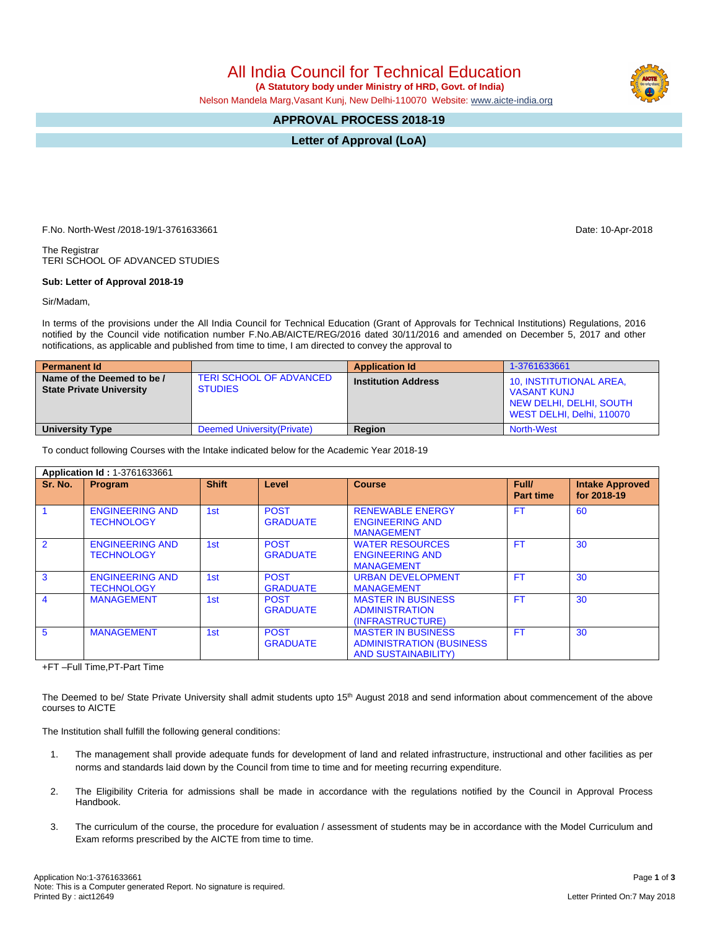All India Council for Technical Education

 **(A Statutory body under Ministry of HRD, Govt. of India)**

Nelson Mandela Marg,Vasant Kunj, New Delhi-110070 Website: [www.aicte-india.org](http://www.aicte-india.org)

## **APPROVAL PROCESS 2018-19**

**Letter of Approval (LoA)**

F.No. North-West /2018-19/1-3761633661 Date: 10-Apr-2018

The Registrar TERI SCHOOL OF ADVANCED STUDIES

## **Sub: Letter of Approval 2018-19**

Sir/Madam,

In terms of the provisions under the All India Council for Technical Education (Grant of Approvals for Technical Institutions) Regulations, 2016 notified by the Council vide notification number F.No.AB/AICTE/REG/2016 dated 30/11/2016 and amended on December 5, 2017 and other notifications, as applicable and published from time to time, I am directed to convey the approval to

| <b>Permanent Id</b>                                           |                                                  | <b>Application Id</b>      | 1-3761633661                                                                                          |
|---------------------------------------------------------------|--------------------------------------------------|----------------------------|-------------------------------------------------------------------------------------------------------|
| Name of the Deemed to be /<br><b>State Private University</b> | <b>TERI SCHOOL OF ADVANCED</b><br><b>STUDIES</b> | <b>Institution Address</b> | 10, INSTITUTIONAL AREA,<br><b>VASANT KUNJ</b><br>NEW DELHI, DELHI, SOUTH<br>WEST DELHI, Delhi, 110070 |
| <b>University Type</b>                                        | Deemed University (Private)                      | Region                     | North-West                                                                                            |

To conduct following Courses with the Intake indicated below for the Academic Year 2018-19

| Application Id: 1-3761633661 |                                             |                 |                                |                                                                                             |                           |                                       |  |
|------------------------------|---------------------------------------------|-----------------|--------------------------------|---------------------------------------------------------------------------------------------|---------------------------|---------------------------------------|--|
| Sr. No.                      | Program                                     | <b>Shift</b>    | Level                          | <b>Course</b>                                                                               | Full/<br><b>Part time</b> | <b>Intake Approved</b><br>for 2018-19 |  |
|                              | <b>ENGINEERING AND</b><br><b>TECHNOLOGY</b> | 1st             | <b>POST</b><br><b>GRADUATE</b> | <b>RENEWABLE ENERGY</b><br><b>ENGINEERING AND</b><br><b>MANAGEMENT</b>                      | <b>FT</b>                 | 60                                    |  |
| $\overline{2}$               | <b>ENGINEERING AND</b><br><b>TECHNOLOGY</b> | 1st             | <b>POST</b><br><b>GRADUATE</b> | <b>WATER RESOURCES</b><br><b>ENGINEERING AND</b><br><b>MANAGEMENT</b>                       | <b>FT</b>                 | 30                                    |  |
| 3                            | <b>ENGINEERING AND</b><br><b>TECHNOLOGY</b> | 1 <sub>st</sub> | <b>POST</b><br><b>GRADUATE</b> | <b>URBAN DEVELOPMENT</b><br><b>MANAGEMENT</b>                                               | <b>FT</b>                 | 30                                    |  |
| 4                            | <b>MANAGEMENT</b>                           | 1st             | <b>POST</b><br><b>GRADUATE</b> | <b>MASTER IN BUSINESS</b><br><b>ADMINISTRATION</b><br>(INFRASTRUCTURE)                      | <b>FT</b>                 | 30                                    |  |
| 5                            | <b>MANAGEMENT</b>                           | 1st             | <b>POST</b><br><b>GRADUATE</b> | <b>MASTER IN BUSINESS</b><br><b>ADMINISTRATION (BUSINESS)</b><br><b>AND SUSTAINABILITY)</b> | <b>FT</b>                 | 30                                    |  |

+FT –Full Time,PT-Part Time

The Deemed to be/ State Private University shall admit students upto 15<sup>th</sup> August 2018 and send information about commencement of the above courses to AICTE

The Institution shall fulfill the following general conditions:

- 1. The management shall provide adequate funds for development of land and related infrastructure, instructional and other facilities as per norms and standards laid down by the Council from time to time and for meeting recurring expenditure.
- 2. The Eligibility Criteria for admissions shall be made in accordance with the regulations notified by the Council in Approval Process Handbook.
- 3. The curriculum of the course, the procedure for evaluation / assessment of students may be in accordance with the Model Curriculum and Exam reforms prescribed by the AICTE from time to time.

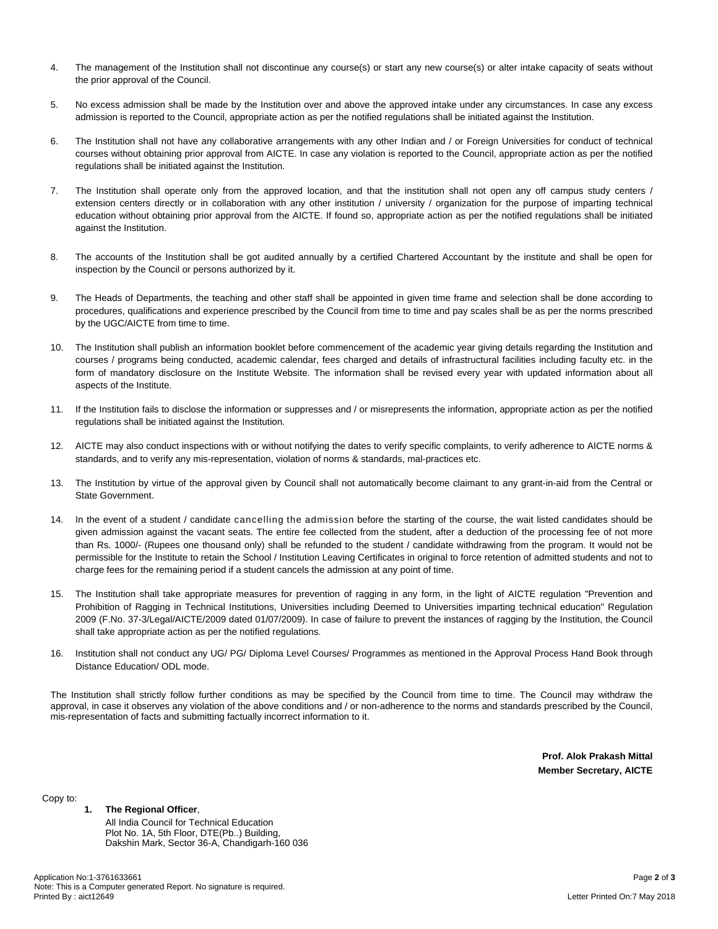- 4. The management of the Institution shall not discontinue any course(s) or start any new course(s) or alter intake capacity of seats without the prior approval of the Council.
- 5. No excess admission shall be made by the Institution over and above the approved intake under any circumstances. In case any excess admission is reported to the Council, appropriate action as per the notified regulations shall be initiated against the Institution.
- 6. The Institution shall not have any collaborative arrangements with any other Indian and / or Foreign Universities for conduct of technical courses without obtaining prior approval from AICTE. In case any violation is reported to the Council, appropriate action as per the notified regulations shall be initiated against the Institution.
- 7. The Institution shall operate only from the approved location, and that the institution shall not open any off campus study centers / extension centers directly or in collaboration with any other institution / university / organization for the purpose of imparting technical education without obtaining prior approval from the AICTE. If found so, appropriate action as per the notified regulations shall be initiated against the Institution.
- 8. The accounts of the Institution shall be got audited annually by a certified Chartered Accountant by the institute and shall be open for inspection by the Council or persons authorized by it.
- 9. The Heads of Departments, the teaching and other staff shall be appointed in given time frame and selection shall be done according to procedures, qualifications and experience prescribed by the Council from time to time and pay scales shall be as per the norms prescribed by the UGC/AICTE from time to time.
- 10. The Institution shall publish an information booklet before commencement of the academic year giving details regarding the Institution and courses / programs being conducted, academic calendar, fees charged and details of infrastructural facilities including faculty etc. in the form of mandatory disclosure on the Institute Website. The information shall be revised every year with updated information about all aspects of the Institute.
- 11. If the Institution fails to disclose the information or suppresses and / or misrepresents the information, appropriate action as per the notified regulations shall be initiated against the Institution.
- 12. AICTE may also conduct inspections with or without notifying the dates to verify specific complaints, to verify adherence to AICTE norms & standards, and to verify any mis-representation, violation of norms & standards, mal-practices etc.
- 13. The Institution by virtue of the approval given by Council shall not automatically become claimant to any grant-in-aid from the Central or State Government.
- 14. In the event of a student / candidate cancelling the admission before the starting of the course, the wait listed candidates should be given admission against the vacant seats. The entire fee collected from the student, after a deduction of the processing fee of not more than Rs. 1000/- (Rupees one thousand only) shall be refunded to the student / candidate withdrawing from the program. It would not be permissible for the Institute to retain the School / Institution Leaving Certificates in original to force retention of admitted students and not to charge fees for the remaining period if a student cancels the admission at any point of time.
- 15. The Institution shall take appropriate measures for prevention of ragging in any form, in the light of AICTE regulation "Prevention and Prohibition of Ragging in Technical Institutions, Universities including Deemed to Universities imparting technical education" Regulation 2009 (F.No. 37-3/Legal/AICTE/2009 dated 01/07/2009). In case of failure to prevent the instances of ragging by the Institution, the Council shall take appropriate action as per the notified regulations.
- 16. Institution shall not conduct any UG/ PG/ Diploma Level Courses/ Programmes as mentioned in the Approval Process Hand Book through Distance Education/ ODL mode.

The Institution shall strictly follow further conditions as may be specified by the Council from time to time. The Council may withdraw the approval, in case it observes any violation of the above conditions and / or non-adherence to the norms and standards prescribed by the Council, mis-representation of facts and submitting factually incorrect information to it.

> **Prof. Alok Prakash Mittal Member Secretary, AICTE**

Copy to:

## **1. The Regional Officer**,

All India Council for Technical Education Plot No. 1A, 5th Floor, DTE(Pb..) Building, Dakshin Mark, Sector 36-A, Chandigarh-160 036